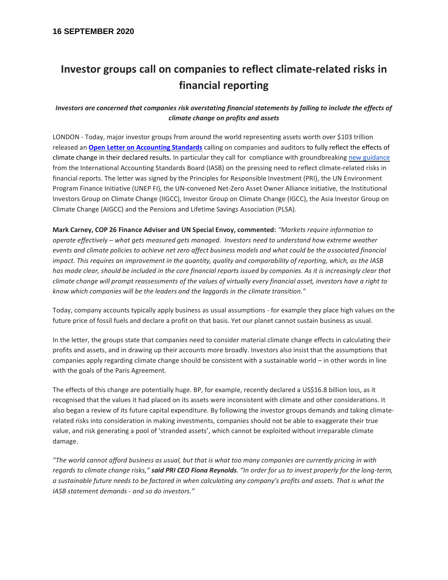# **Investor groups call on companies to reflect climate-related risks in financial reporting**

## *Investors are concerned that companies risk overstating financial statements by failing to include the effects of climate change on profits and assets*

LONDON - Today, major investor groups from around the world representing assets worth over \$103 trillion released an **[Open Letter on Accounting Standards](https://www.unpri.org/accounting-for-climate-change)** calling on companies and auditors to fully reflect the effects of climate change in their declared results. In particular they call for compliance with groundbreakin[g new guidance](https://cdn.ifrs.org/-/media/feature/news/2019/november/in-brief-climate-change-nick-anderson.pdf?la=en) from the International Accounting Standards Board (IASB) on the pressing need to reflect climate-related risks in financial reports. The letter was signed by the Principles for Responsible Investment (PRI), the UN Environment Program Finance Initiative (UNEP FI), the UN-convened Net-Zero Asset Owner Alliance initiative, the Institutional Investors Group on Climate Change (IIGCC), Investor Group on Climate Change (IGCC), the Asia Investor Group on Climate Change (AIGCC) and the Pensions and Lifetime Savings Association (PLSA).

**Mark Carney, COP 26 Finance Adviser and UN Special Envoy, commented:** *"Markets require information to operate effectively – what gets measured gets managed. Investors need to understand how extreme weather events and climate policies to achieve net zero affect business models and what could be the associated financial impact. This requires an improvement in the quantity, quality and comparability of reporting, which, as the IASB*  has made clear, should be included in the core financial reports issued by companies. As it is increasingly clear that *climate change will prompt reassessments of the values of virtually every financial asset, investors have a right to know which companies will be the leaders and the laggards in the climate transition."*

Today, company accounts typically apply business as usual assumptions - for example they place high values on the future price of fossil fuels and declare a profit on that basis. Yet our planet cannot sustain business as usual.

In the letter, the groups state that companies need to consider material climate change effects in calculating their profits and assets, and in drawing up their accounts more broadly. Investors also insist that the assumptions that companies apply regarding climate change should be consistent with a sustainable world – in other words in line with the goals of the Paris Agreement.

The effects of this change are potentially huge. BP, for example, recently declared a US\$16.8 billion loss, as it recognised that the values it had placed on its assets were inconsistent with climate and other considerations. It also began a review of its future capital expenditure. By following the investor groups demands and taking climaterelated risks into consideration in making investments, companies should not be able to exaggerate their true value, and risk generating a pool of 'stranded assets', which cannot be exploited without irreparable climate damage.

*"The world cannot afford business as usual, but that is what too many companies are currently pricing in with regards to climate change risks," said PRI CEO Fiona Reynolds. "In order for us to invest properly for the long-term, a sustainable future needs to be factored in when calculating any company's profits and assets. That is what the IASB statement demands - and so do investors."*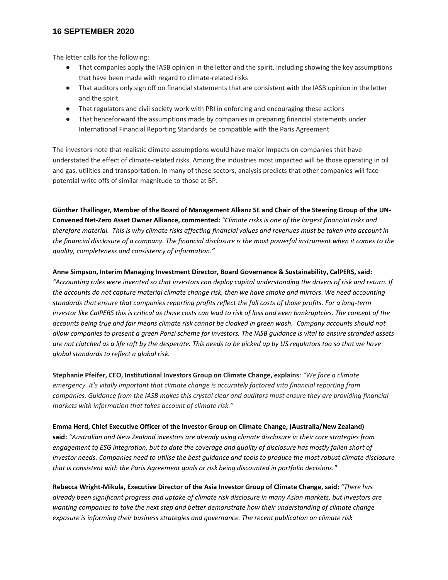## **16 SEPTEMBER 2020**

The letter calls for the following:

- That companies apply the IASB opinion in the letter and the spirit, including showing the key assumptions that have been made with regard to climate-related risks
- That auditors only sign off on financial statements that are consistent with the IASB opinion in the letter and the spirit
- That regulators and civil society work with PRI in enforcing and encouraging these actions
- That henceforward the assumptions made by companies in preparing financial statements under International Financial Reporting Standards be compatible with the Paris Agreement

The investors note that realistic climate assumptions would have major impacts on companies that have understated the effect of climate-related risks. Among the industries most impacted will be those operating in oil and gas, utilities and transportation. In many of these sectors, analysis predicts that other companies will face potential write offs of similar magnitude to those at BP.

**Günther Thallinger, Member of the Board of Management Allianz SE and Chair of the Steering Group of the UN-Convened Net-Zero Asset Owner Alliance, commented:** *"Climate risks is one of the largest financial risks and therefore material. This is why climate risks affecting financial values and revenues must be taken into account in the financial disclosure of a company. The financial disclosure is the most powerful instrument when it comes to the quality, completeness and consistency of information."*

#### **Anne Simpson, Interim Managing Investment Director, Board Governance & Sustainability, CalPERS, said:**

*"Accounting rules were invented so that investors can deploy capital understanding the drivers of risk and return. If the accounts do not capture material climate change risk, then we have smoke and mirrors. We need accounting standards that ensure that companies reporting profits reflect the full costs of those profits. For a long-term investor like CalPERS this is critical as those costs can lead to risk of loss and even bankruptcies. The concept of the accounts being true and fair means climate risk cannot be cloaked in green wash. Company accounts should not allow companies to present a green Ponzi scheme for investors. The IASB guidance is vital to ensure stranded assets are not clutched as a life raft by the desperate. This needs to be picked up by US regulators too so that we have global standards to reflect a global risk.*

**Stephanie Pfeifer, CEO, Institutional Investors Group on Climate Change, explains***: "We face a climate emergency. It's vitally important that climate change is accurately factored into financial reporting from companies. Guidance from the IASB makes this crystal clear and auditors must ensure they are providing financial markets with information that takes account of climate risk."*

#### **Emma Herd, Chief Executive Officer of the Investor Group on Climate Change, (Australia/New Zealand)**

**said:** *"Australian and New Zealand investors are already using climate disclosure in their core strategies from engagement to ESG integration, but to date the coverage and quality of disclosure has mostly fallen short of investor needs. Companies need to utilise the best guidance and tools to produce the most robust climate disclosure that is consistent with the Paris Agreement goals or risk being discounted in portfolio decisions."*

**Rebecca Wright-Mikula, Executive Director of the Asia Investor Group of Climate Change, said:** *"There has already been significant progress and uptake of climate risk disclosure in many Asian markets, but investors are wanting companies to take the next step and better demonstrate how their understanding of climate change exposure is informing their business strategies and governance. The recent publication on climate risk*